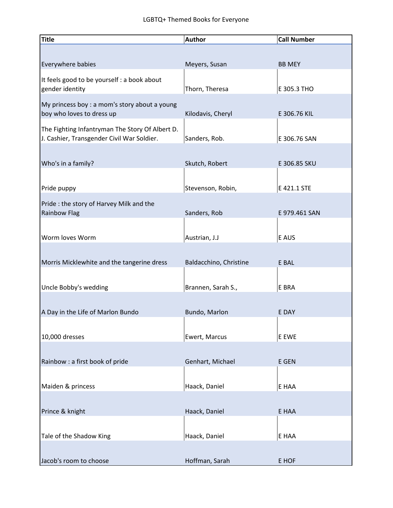| <b>Title</b>                                    | <b>Author</b>          | <b>Call Number</b> |
|-------------------------------------------------|------------------------|--------------------|
|                                                 |                        |                    |
| Everywhere babies                               | Meyers, Susan          | <b>BB MEY</b>      |
| It feels good to be yourself : a book about     |                        |                    |
| gender identity                                 | Thorn, Theresa         | E 305.3 THO        |
| My princess boy : a mom's story about a young   |                        |                    |
| boy who loves to dress up                       | Kilodavis, Cheryl      | E 306.76 KIL       |
| The Fighting Infantryman The Story Of Albert D. |                        |                    |
| J. Cashier, Transgender Civil War Soldier.      | Sanders, Rob.          | E 306.76 SAN       |
|                                                 |                        |                    |
| Who's in a family?                              | Skutch, Robert         | E 306.85 SKU       |
|                                                 |                        |                    |
| Pride puppy                                     | Stevenson, Robin,      | E 421.1 STE        |
| Pride : the story of Harvey Milk and the        |                        |                    |
| <b>Rainbow Flag</b>                             | Sanders, Rob           | E 979.461 SAN      |
|                                                 |                        |                    |
| Worm loves Worm                                 | Austrian, J.J          | E AUS              |
|                                                 |                        |                    |
| Morris Micklewhite and the tangerine dress      | Baldacchino, Christine | E BAL              |
|                                                 |                        |                    |
| Uncle Bobby's wedding                           | Brannen, Sarah S.,     | E BRA              |
|                                                 |                        |                    |
| A Day in the Life of Marlon Bundo               | Bundo, Marlon          | E DAY              |
|                                                 |                        |                    |
| 10,000 dresses                                  | Ewert, Marcus          | E EWE              |
|                                                 |                        |                    |
| Rainbow : a first book of pride                 | Genhart, Michael       | E GEN              |
|                                                 |                        |                    |
| Maiden & princess                               | Haack, Daniel          | E HAA              |
|                                                 |                        |                    |
| Prince & knight                                 | Haack, Daniel          | E HAA              |
|                                                 |                        |                    |
| Tale of the Shadow King                         | Haack, Daniel          | E HAA              |
|                                                 |                        |                    |
| Jacob's room to choose                          | Hoffman, Sarah         | E HOF              |